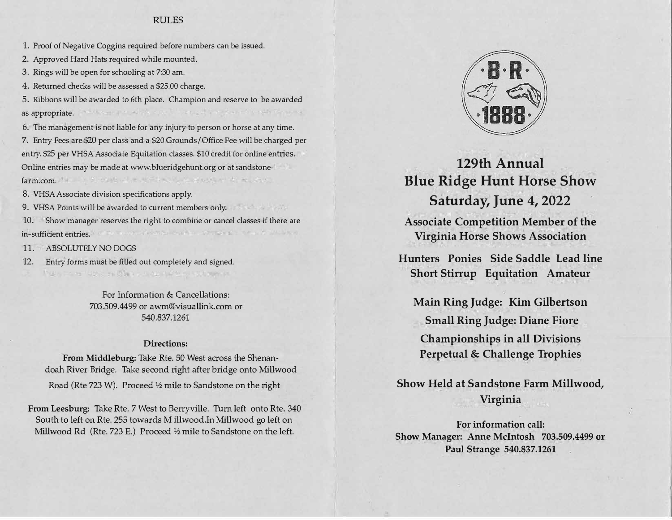# RULES

1. Proof of Negative Coggins required before numbers can be issued.

2. Approved Hard Hats required while mounted.

3. Rings will be open for schooling at 7:30 am.

4. Returned checks will be assessed a \$25.00 charge.

5. Ribbons will be awarded to 6th place. Champion and reserve to be awarded manufactured the control of state of an experimental properties. as appropriate.

6. The management is not liable for any injury to person or horse at any time. 7. Entry Fees are \$20 per class and a \$20 Grounds/Office Fee will be charged per entry. \$25 per VHSA Associate Equitation classes. \$10 credit for online entries. Online entries may be made at www.blueridgehunt.org or at sandstonefarm.com.

8. VHSA Associate division specifications apply.

9. VHSA Points will be awarded to current members only.

10. Show manager reserves the right to combine or cancel classes if there are the New York of Contract in the State of the Contract of the State in-sufficient entries.

11. ABSOLUTELY NO DOGS

12. Entry forms must be filled out completely and signed.

Make the relief of the State of Australian Committee

For Information & Cancellations: 703.509.4499 or awm@visuallink.com or 540.837.1261

# **Directions:**

**From Middleburg:** Take Rte. SO West across the Shenandoah River Bridge. Take second right after bridge onto Millwood Road (Rte 723 W). Proceed ½ mile to Sandstone on the right

**From Leesburg:** Take Rte. 7 West to Berryville. Turn left onto Rte. 340 South to left on Rte. 255 towards M illwood.In Millwood go left on Millwood Rd (Rte. 723 E.) Proceed½ mile to Sandstone on the left.



**129th Annual Blue Ridge Hunt Horse Show Saturday, June 4, 2022**

**Associate Competition Member of the Virginia Horse Shows Association** 

**Hunters Ponies Side Saddle Lead line Short Stirrup Equitation Amateur** 

**Main Ring Judge: Kim Gilbertson Small Ring Judge: Diane Fiore Championships in all Divisions Perpetual & Challenge Trophies** 

**Show Held at Sandstone Farm Millwood, Virginia** 

**For information call: Show Manager: Anne McIntosh 703.509.4499 or Paul Strange 540.837.1261**